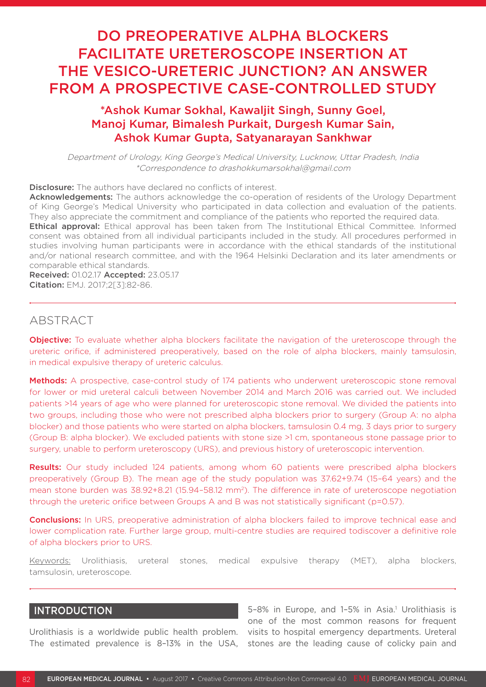# DO PREOPERATIVE ALPHA BLOCKERS FACILITATE URETEROSCOPE INSERTION AT THE VESICO-URETERIC JUNCTION? AN ANSWER FROM A PROSPECTIVE CASE-CONTROLLED STUDY

# \*Ashok Kumar Sokhal, Kawaljit Singh, Sunny Goel, Manoj Kumar, Bimalesh Purkait, Durgesh Kumar Sain, Ashok Kumar Gupta, Satyanarayan Sankhwar

Department of Urology, King George's Medical University, Lucknow, Uttar Pradesh, India \*Correspondence to drashokkumarsokhal@gmail.com

**Disclosure:** The authors have declared no conflicts of interest.

Acknowledgements: The authors acknowledge the co-operation of residents of the Urology Department of King George's Medical University who participated in data collection and evaluation of the patients. They also appreciate the commitment and compliance of the patients who reported the required data. **Ethical approval:** Ethical approval has been taken from The Institutional Ethical Committee. Informed

consent was obtained from all individual participants included in the study. All procedures performed in studies involving human participants were in accordance with the ethical standards of the institutional and/or national research committee, and with the 1964 Helsinki Declaration and its later amendments or comparable ethical standards.

Received: 01.02.17 Accepted: 23.05.17 Citation: EMJ. 2017;2[3]:82-86.

# ABSTRACT

**Objective:** To evaluate whether alpha blockers facilitate the navigation of the ureteroscope through the ureteric orifice, if administered preoperatively, based on the role of alpha blockers, mainly tamsulosin, in medical expulsive therapy of ureteric calculus.

Methods: A prospective, case-control study of 174 patients who underwent ureteroscopic stone removal for lower or mid ureteral calculi between November 2014 and March 2016 was carried out. We included patients >14 years of age who were planned for ureteroscopic stone removal. We divided the patients into two groups, including those who were not prescribed alpha blockers prior to surgery (Group A: no alpha blocker) and those patients who were started on alpha blockers, tamsulosin 0.4 mg, 3 days prior to surgery (Group B: alpha blocker). We excluded patients with stone size >1 cm, spontaneous stone passage prior to surgery, unable to perform ureteroscopy (URS), and previous history of ureteroscopic intervention.

Results: Our study included 124 patients, among whom 60 patients were prescribed alpha blockers preoperatively (Group B). The mean age of the study population was 37.62+9.74 (15–64 years) and the mean stone burden was 38.92+8.21 (15.94-58.12 mm<sup>2</sup>). The difference in rate of ureteroscope negotiation through the ureteric orifice between Groups A and B was not statistically significant (p=0.57).

**Conclusions:** In URS, preoperative administration of alpha blockers failed to improve technical ease and lower complication rate. Further large group, multi-centre studies are required todiscover a definitive role of alpha blockers prior to URS.

Keywords: Urolithiasis, ureteral stones, medical expulsive therapy (MET), alpha blockers, tamsulosin, ureteroscope.

# INTRODUCTION

Urolithiasis is a worldwide public health problem.

The estimated prevalence is 8–13% in the USA, stones are the leading cause of colicky pain and 5-8% in Europe, and 1-5% in Asia.<sup>1</sup> Urolithiasis is one of the most common reasons for frequent visits to hospital emergency departments. Ureteral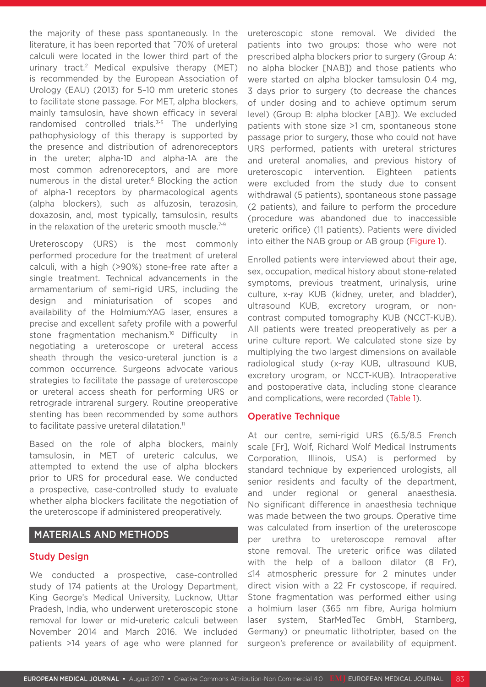the majority of these pass spontaneously. In the literature, it has been reported that ~70% of ureteral calculi were located in the lower third part of the urinary tract.2 Medical expulsive therapy (MET) is recommended by the European Association of Urology (EAU) (2013) for 5–10 mm ureteric stones to facilitate stone passage. For MET, alpha blockers, mainly tamsulosin, have shown efficacy in several randomised controlled trials.<sup>3-5</sup> The underlying pathophysiology of this therapy is supported by the presence and distribution of adrenoreceptors in the ureter; alpha-1D and alpha-1A are the most common adrenoreceptors, and are more numerous in the distal ureter.<sup>6</sup> Blocking the action of alpha-1 receptors by pharmacological agents (alpha blockers), such as alfuzosin, terazosin, doxazosin, and, most typically, tamsulosin, results in the relaxation of the ureteric smooth muscle.7-9

Ureteroscopy (URS) is the most commonly performed procedure for the treatment of ureteral calculi, with a high (>90%) stone-free rate after a single treatment. Technical advancements in the armamentarium of semi-rigid URS, including the design and miniaturisation of scopes and availability of the Holmium:YAG laser, ensures a precise and excellent safety profile with a powerful stone fragmentation mechanism.<sup>10</sup> Difficulty in negotiating a ureteroscope or ureteral access sheath through the vesico-ureteral junction is a common occurrence. Surgeons advocate various strategies to facilitate the passage of ureteroscope or ureteral access sheath for performing URS or retrograde intrarenal surgery. Routine preoperative stenting has been recommended by some authors to facilitate passive ureteral dilatation.<sup>11</sup>

Based on the role of alpha blockers, mainly tamsulosin, in MET of ureteric calculus, we attempted to extend the use of alpha blockers prior to URS for procedural ease. We conducted a prospective, case-controlled study to evaluate whether alpha blockers facilitate the negotiation of the ureteroscope if administered preoperatively.

# MATERIALS AND METHODS

## Study Design

We conducted a prospective, case-controlled study of 174 patients at the Urology Department, King George's Medical University, Lucknow, Uttar Pradesh, India, who underwent ureteroscopic stone removal for lower or mid-ureteric calculi between November 2014 and March 2016. We included patients >14 years of age who were planned for ureteroscopic stone removal. We divided the patients into two groups: those who were not prescribed alpha blockers prior to surgery (Group A: no alpha blocker [NAB]) and those patients who were started on alpha blocker tamsulosin 0.4 mg, 3 days prior to surgery (to decrease the chances of under dosing and to achieve optimum serum level) (Group B: alpha blocker [AB]). We excluded patients with stone size >1 cm, spontaneous stone passage prior to surgery, those who could not have URS performed, patients with ureteral strictures and ureteral anomalies, and previous history of ureteroscopic intervention. Eighteen patients were excluded from the study due to consent withdrawal (5 patients), spontaneous stone passage (2 patients), and failure to perform the procedure (procedure was abandoned due to inaccessible ureteric orifice) (11 patients). Patients were divided into either the NAB group or AB group (Figure 1).

Enrolled patients were interviewed about their age, sex, occupation, medical history about stone-related symptoms, previous treatment, urinalysis, urine culture, x-ray KUB (kidney, ureter, and bladder), ultrasound KUB, excretory urogram, or noncontrast computed tomography KUB (NCCT-KUB). All patients were treated preoperatively as per a urine culture report. We calculated stone size by multiplying the two largest dimensions on available radiological study (x-ray KUB, ultrasound KUB, excretory urogram, or NCCT-KUB). Intraoperative and postoperative data, including stone clearance and complications, were recorded (Table 1).

#### **Operative Technique**

At our centre, semi-rigid URS (6.5/8.5 French scale [Fr], Wolf, Richard Wolf Medical Instruments Corporation, Illinois, USA) is performed by standard technique by experienced urologists, all senior residents and faculty of the department, and under regional or general anaesthesia. No significant difference in anaesthesia technique was made between the two groups. Operative time was calculated from insertion of the ureteroscope per urethra to ureteroscope removal after stone removal. The ureteric orifice was dilated with the help of a balloon dilator (8 Fr). ≤14 atmospheric pressure for 2 minutes under direct vision with a 22 Fr cystoscope, if required. Stone fragmentation was performed either using a holmium laser (365 nm fibre, Auriga holmium laser system, StarMedTec GmbH, Starnberg, Germany) or pneumatic lithotripter, based on the surgeon's preference or availability of equipment.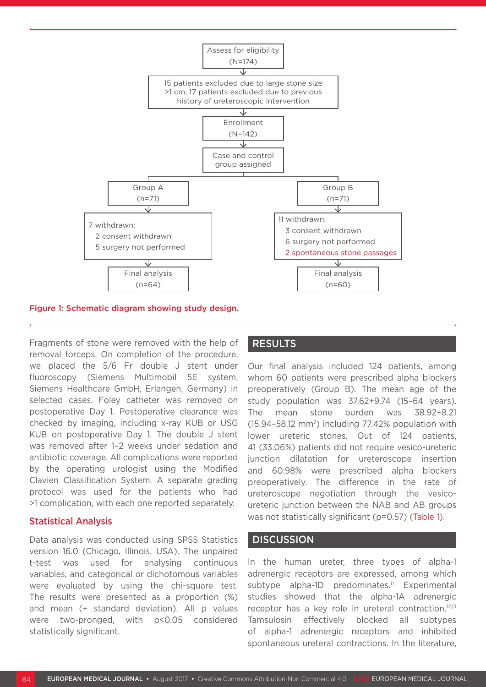

Figure 1: Schematic diagram showing study design.

Fragments of stone were removed with the help of removal forceps. On completion of the procedure, we placed the 5/6 Fr double J stent under fluoroscopy (Siemens Multimobil 5E system, Siemens Healthcare GmbH, Erlangen, Germany) in selected cases. Foley catheter was removed on postoperative Day 1. Postoperative clearance was checked by imaging, including x-ray KUB or USG KUB on postoperative Day 1. The double J stent was removed after 1–2 weeks under sedation and antibiotic coverage. All complications were reported by the operating urologist using the Modified Clavien Classification System. A separate grading protocol was used for the patients who had >1 complication, with each one reported separately.

#### Statistical Analysis

Data analysis was conducted using SPSS Statistics version 16.0 (Chicago, Illinois, USA). The unpaired t-test was used for analysing continuous variables, and categorical or dichotomous variables were evaluated by using the chi-square test. The results were presented as a proportion (%) and mean (+ standard deviation). All p values were two-pronged, with p<0.05 considered statistically significant.

### RESULTS

Our final analysis included 124 patients, among whom 60 patients were prescribed alpha blockers preoperatively (Group B). The mean age of the study population was 37.62+9.74 (15–64 years). The mean stone burden was 38.92+8.21  $(15.94 - 58.12 \text{ mm}^2)$  including 77.42% population with lower ureteric stones. Out of 124 patients, 41 (33.06%) patients did not require vesico-ureteric junction dilatation for ureteroscope insertion and 60.98% were prescribed alpha blockers preoperatively. The difference in the rate of ureteroscope negotiation through the vesicoureteric junction between the NAB and AB groups was not statistically significant (p=0.57) (Table 1).

# **DISCUSSION**

In the human ureter, three types of alpha-1 adrenergic receptors are expressed, among which subtype alpha-1D predominates.<sup>11</sup> Experimental studies showed that the alpha-1A adrenergic receptor has a key role in ureteral contraction.<sup>12,13</sup> Tamsulosin effectively blocked all subtypes of alpha-1 adrenergic receptors and inhibited spontaneous ureteral contractions. In the literature,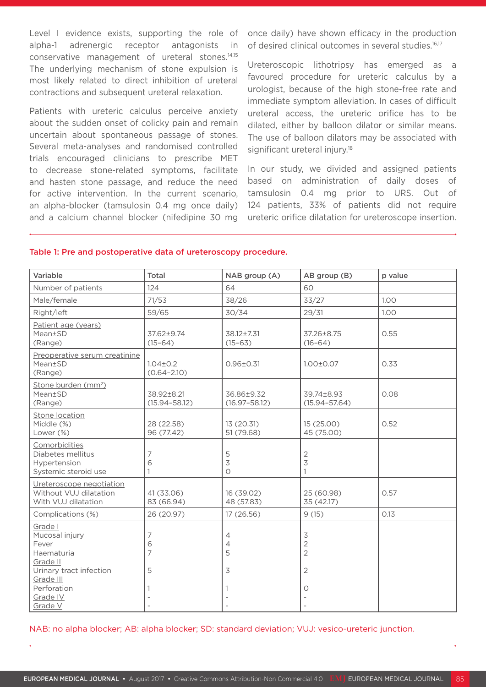Level I evidence exists, supporting the role of alpha-1 adrenergic receptor antagonists in conservative management of ureteral stones.14,15 The underlying mechanism of stone expulsion is most likely related to direct inhibition of ureteral contractions and subsequent ureteral relaxation.

Patients with ureteric calculus perceive anxiety about the sudden onset of colicky pain and remain uncertain about spontaneous passage of stones. Several meta-analyses and randomised controlled trials encouraged clinicians to prescribe MET to decrease stone-related symptoms, facilitate and hasten stone passage, and reduce the need for active intervention. In the current scenario, an alpha-blocker (tamsulosin 0.4 mg once daily) and a calcium channel blocker (nifedipine 30 mg once daily) have shown efficacy in the production of desired clinical outcomes in several studies.<sup>16,17</sup>

Ureteroscopic lithotripsy has emerged as a favoured procedure for ureteric calculus by a urologist, because of the high stone-free rate and immediate symptom alleviation. In cases of difficult ureteral access, the ureteric orifice has to be dilated, either by balloon dilator or similar means. The use of balloon dilators may be associated with significant ureteral injury.<sup>18</sup>

In our study, we divided and assigned patients based on administration of daily doses of tamsulosin 0.4 mg prior to URS. Out of 124 patients, 33% of patients did not require ureteric orifice dilatation for ureteroscope insertion.

| Variable                                                                                | Total                             | NAB group (A)                   | AB group (B)                                                    | p value |
|-----------------------------------------------------------------------------------------|-----------------------------------|---------------------------------|-----------------------------------------------------------------|---------|
| Number of patients                                                                      | 124                               | 64                              | 60                                                              |         |
| Male/female                                                                             | 71/53                             | 38/26                           | 33/27                                                           | 1.00    |
| Right/left                                                                              | 59/65                             | 30/34                           | 29/31                                                           | 1.00    |
| Patient age (years)<br>Mean±SD<br>(Range)                                               | 37.62±9.74<br>$(15-64)$           | 38.12±7.31<br>$(15 - 63)$       | 37.26±8.75<br>$(16-64)$                                         | 0.55    |
| Preoperative serum creatinine<br>Mean±SD<br>(Range)                                     | $1.04 \pm 0.2$<br>$(0.64 - 2.10)$ | $0.96 \pm 0.31$                 | $1.00 \pm 0.07$                                                 | 0.33    |
| Stone burden (mm <sup>2</sup> )<br>Mean±SD<br>(Range)                                   | 38.92±8.21<br>$(15.94 - 58.12)$   | 36.86±9.32<br>$(16.97 - 58.12)$ | 39.74±8.93<br>$(15.94 - 57.64)$                                 | 0.08    |
| Stone location<br>Middle (%)<br>Lower (%)                                               | 28 (22.58)<br>96 (77.42)          | 13 (20.31)<br>51 (79.68)        | 15(25.00)<br>45 (75.00)                                         | 0.52    |
| Comorbidities<br>Diabetes mellitus<br>Hypertension<br>Systemic steroid use              | 7<br>6<br>1                       | 5<br>3<br>$\circ$               | $\overline{c}$<br>$\overline{3}$<br>1                           |         |
| Ureteroscope negotiation<br>Without VUJ dilatation<br>With VUJ dilatation               | 41 (33.06)<br>83 (66.94)          | 16 (39.02)<br>48 (57.83)        | 25 (60.98)<br>35 (42.17)                                        | 0.57    |
| Complications (%)                                                                       | 26 (20.97)                        | 17 (26.56)                      | 9(15)                                                           | 0.13    |
| Grade I<br>Mucosal injury<br>Fever<br>Haematuria<br>Grade II<br>Urinary tract infection | 7<br>6<br>7<br>5                  | 4<br>4<br>5<br>3                | $\preceq$<br>$\overline{2}$<br>$\overline{2}$<br>$\overline{2}$ |         |
| Grade III<br>Perforation<br>Grade IV<br>Grade V                                         |                                   |                                 | Ο                                                               |         |

#### Table 1: Pre and postoperative data of ureteroscopy procedure.

NAB: no alpha blocker; AB: alpha blocker; SD: standard deviation; VUJ: vesico-ureteric junction.